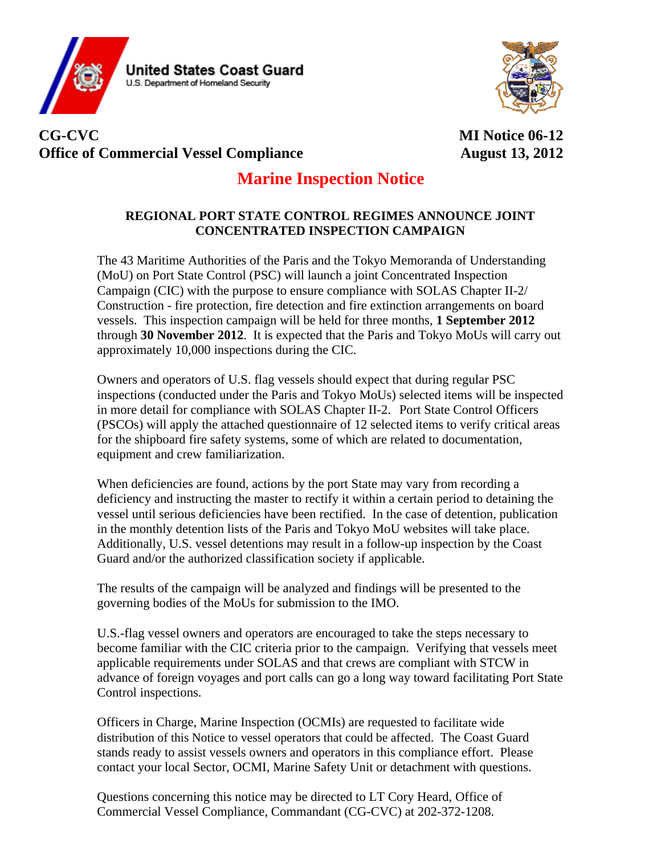



## **CG-CVC MI Notice 06-12 Office of Commercial Vessel Compliance** August 13, 2012

## **Marine Inspection Notice**

## **REGIONAL PORT STATE CONTROL REGIMES ANNOUNCE JOINT CONCENTRATED INSPECTION CAMPAIGN**

The 43 Maritime Authorities of the Paris and the Tokyo Memoranda of Understanding (MoU) on Port State Control (PSC) will launch a joint Concentrated Inspection Campaign (CIC) with the purpose to ensure compliance with SOLAS Chapter II-2/ Construction - fire protection, fire detection and fire extinction arrangements on board vessels. This inspection campaign will be held for three months, **1 September 2012** through **30 November 2012**. It is expected that the Paris and Tokyo MoUs will carry out approximately 10,000 inspections during the CIC.

Owners and operators of U.S. flag vessels should expect that during regular PSC inspections (conducted under the Paris and Tokyo MoUs) selected items will be inspected in more detail for compliance with SOLAS Chapter II-2. Port State Control Officers (PSCOs) will apply the attached questionnaire of 12 selected items to verify critical areas for the shipboard fire safety systems, some of which are related to documentation, equipment and crew familiarization.

When deficiencies are found, actions by the port State may vary from recording a deficiency and instructing the master to rectify it within a certain period to detaining the vessel until serious deficiencies have been rectified. In the case of detention, publication in the monthly detention lists of the Paris and Tokyo MoU websites will take place. Additionally, U.S. vessel detentions may result in a follow-up inspection by the Coast Guard and/or the authorized classification society if applicable.

The results of the campaign will be analyzed and findings will be presented to the governing bodies of the MoUs for submission to the IMO.

U.S.-flag vessel owners and operators are encouraged to take the steps necessary to become familiar with the CIC criteria prior to the campaign. Verifying that vessels meet applicable requirements under SOLAS and that crews are compliant with STCW in advance of foreign voyages and port calls can go a long way toward facilitating Port State Control inspections.

Officers in Charge, Marine Inspection (OCMIs) are requested to facilitate wide distribution of this Notice to vessel operators that could be affected. The Coast Guard stands ready to assist vessels owners and operators in this compliance effort. Please contact your local Sector, OCMI, Marine Safety Unit or detachment with questions.

Questions concerning this notice may be directed to LT Cory Heard, Office of Commercial Vessel Compliance, Commandant (CG-CVC) at 202-372-1208.